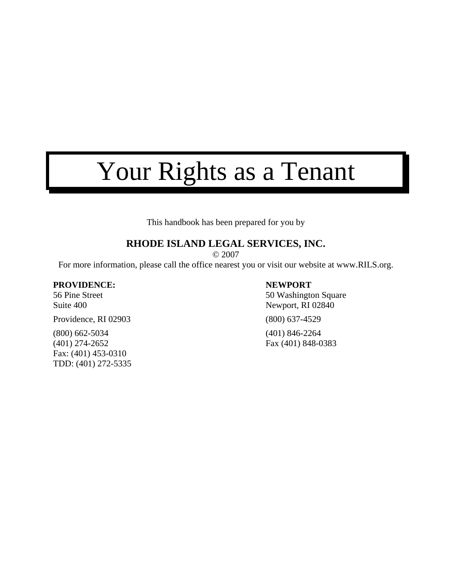# Your Rights as a Tenant

This handbook has been prepared for you by

### **RHODE ISLAND LEGAL SERVICES, INC.**

© 2007

For more information, please call the office nearest you or visit our website at www.RILS.org.

#### **PROVIDENCE: NEWPORT**

Providence, RI 02903 (800) 637-4529

(800) 662-5034 (401) 846-2264 (401) 274-2652 Fax (401) 848-0383 Fax: (401) 453-0310 TDD: (401) 272-5335

56 Pine Street 50 Washington Square Suite 400 Newport, RI 02840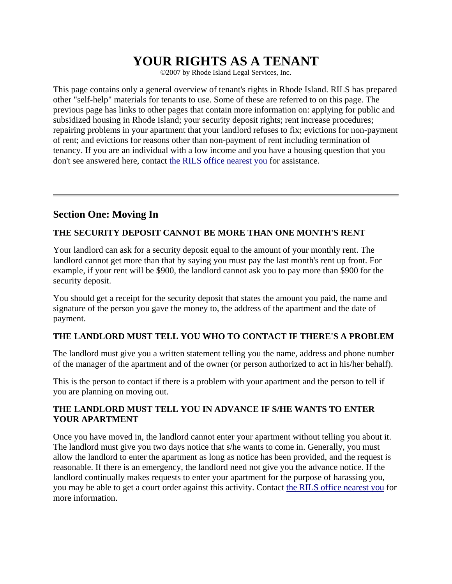## **YOUR RIGHTS AS A TENANT**

©2007 by Rhode Island Legal Services, Inc.

This page contains only a general overview of tenant's rights in Rhode Island. RILS has prepared other "self-help" materials for tenants to use. Some of these are referred to on this page. The previous page has links to other pages that contain more information on: applying for public and subsidized housing in Rhode Island; your security deposit rights; rent increase procedures; repairing problems in your apartment that your landlord refuses to fix; evictions for non-payment of rent; and evictions for reasons other than non-payment of rent including termination of tenancy. If you are an individual with a low income and you have a housing question that you don't see answered here, contact the RILS office nearest you for assistance.

#### **Section One: Moving In**

#### **THE SECURITY DEPOSIT CANNOT BE MORE THAN ONE MONTH'S RENT**

Your landlord can ask for a security deposit equal to the amount of your monthly rent. The landlord cannot get more than that by saying you must pay the last month's rent up front. For example, if your rent will be \$900, the landlord cannot ask you to pay more than \$900 for the security deposit.

You should get a receipt for the security deposit that states the amount you paid, the name and signature of the person you gave the money to, the address of the apartment and the date of payment.

#### **THE LANDLORD MUST TELL YOU WHO TO CONTACT IF THERE'S A PROBLEM**

The landlord must give you a written statement telling you the name, address and phone number of the manager of the apartment and of the owner (or person authorized to act in his/her behalf).

This is the person to contact if there is a problem with your apartment and the person to tell if you are planning on moving out.

#### **THE LANDLORD MUST TELL YOU IN ADVANCE IF S/HE WANTS TO ENTER YOUR APARTMENT**

Once you have moved in, the landlord cannot enter your apartment without telling you about it. The landlord must give you two days notice that s/he wants to come in. Generally, you must allow the landlord to enter the apartment as long as notice has been provided, and the request is reasonable. If there is an emergency, the landlord need not give you the advance notice. If the landlord continually makes requests to enter your apartment for the purpose of harassing you, you may be able to get a court order against this activity. Contact the RILS office nearest you for more information.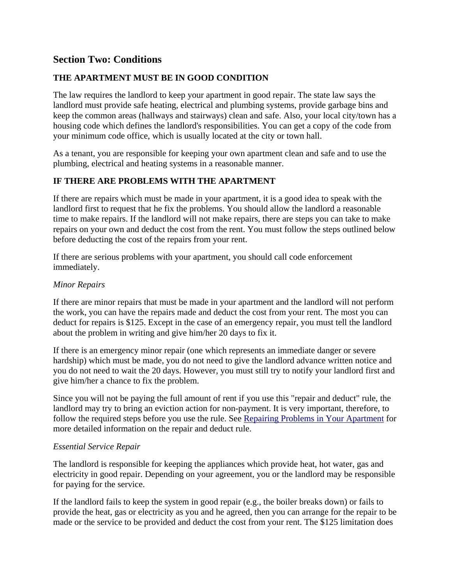#### **Section Two: Conditions**

#### **THE APARTMENT MUST BE IN GOOD CONDITION**

The law requires the landlord to keep your apartment in good repair. The state law says the landlord must provide safe heating, electrical and plumbing systems, provide garbage bins and keep the common areas (hallways and stairways) clean and safe. Also, your local city/town has a housing code which defines the landlord's responsibilities. You can get a copy of the code from your minimum code office, which is usually located at the city or town hall.

As a tenant, you are responsible for keeping your own apartment clean and safe and to use the plumbing, electrical and heating systems in a reasonable manner.

#### **IF THERE ARE PROBLEMS WITH THE APARTMENT**

If there are repairs which must be made in your apartment, it is a good idea to speak with the landlord first to request that he fix the problems. You should allow the landlord a reasonable time to make repairs. If the landlord will not make repairs, there are steps you can take to make repairs on your own and deduct the cost from the rent. You must follow the steps outlined below before deducting the cost of the repairs from your rent.

If there are serious problems with your apartment, you should call code enforcement immediately.

#### *Minor Repairs*

If there are minor repairs that must be made in your apartment and the landlord will not perform the work, you can have the repairs made and deduct the cost from your rent. The most you can deduct for repairs is \$125. Except in the case of an emergency repair, you must tell the landlord about the problem in writing and give him/her 20 days to fix it.

If there is an emergency minor repair (one which represents an immediate danger or severe hardship) which must be made, you do not need to give the landlord advance written notice and you do not need to wait the 20 days. However, you must still try to notify your landlord first and give him/her a chance to fix the problem.

Since you will not be paying the full amount of rent if you use this "repair and deduct" rule, the landlord may try to bring an eviction action for non-payment. It is very important, therefore, to follow the required steps before you use the rule. See Repairing Problems in Your Apartment for more detailed information on the repair and deduct rule.

#### *Essential Service Repair*

The landlord is responsible for keeping the appliances which provide heat, hot water, gas and electricity in good repair. Depending on your agreement, you or the landlord may be responsible for paying for the service.

If the landlord fails to keep the system in good repair (e.g., the boiler breaks down) or fails to provide the heat, gas or electricity as you and he agreed, then you can arrange for the repair to be made or the service to be provided and deduct the cost from your rent. The \$125 limitation does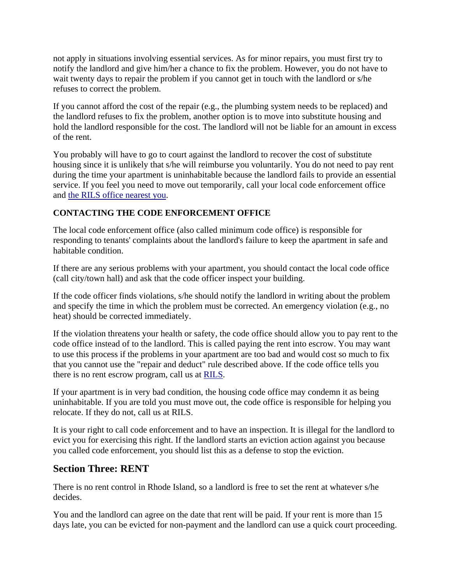not apply in situations involving essential services. As for minor repairs, you must first try to notify the landlord and give him/her a chance to fix the problem. However, you do not have to wait twenty days to repair the problem if you cannot get in touch with the landlord or s/he refuses to correct the problem.

If you cannot afford the cost of the repair (e.g., the plumbing system needs to be replaced) and the landlord refuses to fix the problem, another option is to move into substitute housing and hold the landlord responsible for the cost. The landlord will not be liable for an amount in excess of the rent.

You probably will have to go to court against the landlord to recover the cost of substitute housing since it is unlikely that s/he will reimburse you voluntarily. You do not need to pay rent during the time your apartment is uninhabitable because the landlord fails to provide an essential service. If you feel you need to move out temporarily, call your local code enforcement office and the RILS office nearest you.

#### **CONTACTING THE CODE ENFORCEMENT OFFICE**

The local code enforcement office (also called minimum code office) is responsible for responding to tenants' complaints about the landlord's failure to keep the apartment in safe and habitable condition.

If there are any serious problems with your apartment, you should contact the local code office (call city/town hall) and ask that the code officer inspect your building.

If the code officer finds violations, s/he should notify the landlord in writing about the problem and specify the time in which the problem must be corrected. An emergency violation (e.g., no heat) should be corrected immediately.

If the violation threatens your health or safety, the code office should allow you to pay rent to the code office instead of to the landlord. This is called paying the rent into escrow. You may want to use this process if the problems in your apartment are too bad and would cost so much to fix that you cannot use the "repair and deduct" rule described above. If the code office tells you there is no rent escrow program, call us at RILS.

If your apartment is in very bad condition, the housing code office may condemn it as being uninhabitable. If you are told you must move out, the code office is responsible for helping you relocate. If they do not, call us at RILS.

It is your right to call code enforcement and to have an inspection. It is illegal for the landlord to evict you for exercising this right. If the landlord starts an eviction action against you because you called code enforcement, you should list this as a defense to stop the eviction.

#### **Section Three: RENT**

There is no rent control in Rhode Island, so a landlord is free to set the rent at whatever s/he decides.

You and the landlord can agree on the date that rent will be paid. If your rent is more than 15 days late, you can be evicted for non-payment and the landlord can use a quick court proceeding.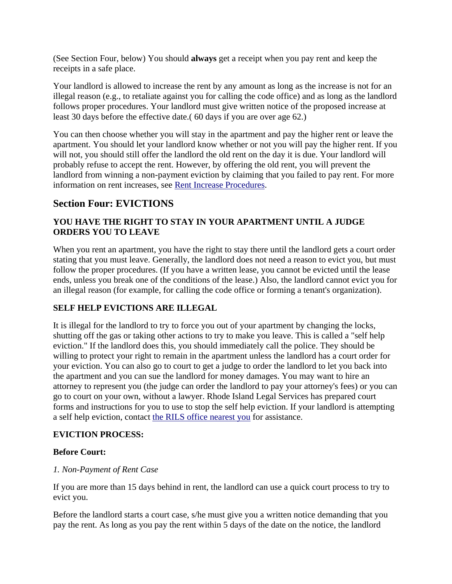(See Section Four, below) You should **always** get a receipt when you pay rent and keep the receipts in a safe place.

Your landlord is allowed to increase the rent by any amount as long as the increase is not for an illegal reason (e.g., to retaliate against you for calling the code office) and as long as the landlord follows proper procedures. Your landlord must give written notice of the proposed increase at least 30 days before the effective date.( 60 days if you are over age 62.)

You can then choose whether you will stay in the apartment and pay the higher rent or leave the apartment. You should let your landlord know whether or not you will pay the higher rent. If you will not, you should still offer the landlord the old rent on the day it is due. Your landlord will probably refuse to accept the rent. However, by offering the old rent, you will prevent the landlord from winning a non-payment eviction by claiming that you failed to pay rent. For more information on rent increases, see Rent Increase Procedures.

#### **Section Four: EVICTIONS**

#### **YOU HAVE THE RIGHT TO STAY IN YOUR APARTMENT UNTIL A JUDGE ORDERS YOU TO LEAVE**

When you rent an apartment, you have the right to stay there until the landlord gets a court order stating that you must leave. Generally, the landlord does not need a reason to evict you, but must follow the proper procedures. (If you have a written lease, you cannot be evicted until the lease ends, unless you break one of the conditions of the lease.) Also, the landlord cannot evict you for an illegal reason (for example, for calling the code office or forming a tenant's organization).

#### **SELF HELP EVICTIONS ARE ILLEGAL**

It is illegal for the landlord to try to force you out of your apartment by changing the locks, shutting off the gas or taking other actions to try to make you leave. This is called a "self help eviction." If the landlord does this, you should immediately call the police. They should be willing to protect your right to remain in the apartment unless the landlord has a court order for your eviction. You can also go to court to get a judge to order the landlord to let you back into the apartment and you can sue the landlord for money damages. You may want to hire an attorney to represent you (the judge can order the landlord to pay your attorney's fees) or you can go to court on your own, without a lawyer. Rhode Island Legal Services has prepared court forms and instructions for you to use to stop the self help eviction. If your landlord is attempting a self help eviction, contact the RILS office nearest you for assistance.

#### **EVICTION PROCESS:**

#### **Before Court:**

#### *1. Non-Payment of Rent Case*

If you are more than 15 days behind in rent, the landlord can use a quick court process to try to evict you.

Before the landlord starts a court case, s/he must give you a written notice demanding that you pay the rent. As long as you pay the rent within 5 days of the date on the notice, the landlord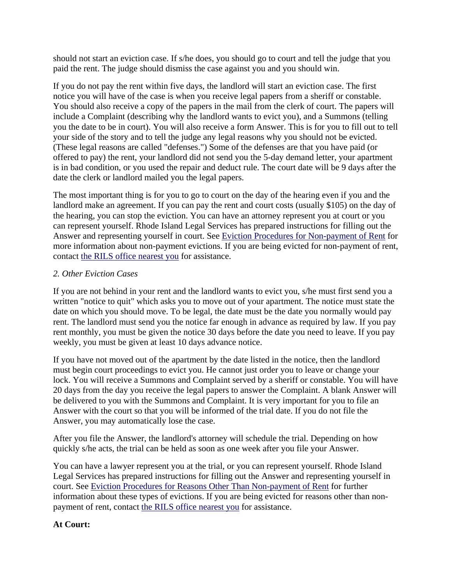should not start an eviction case. If s/he does, you should go to court and tell the judge that you paid the rent. The judge should dismiss the case against you and you should win.

If you do not pay the rent within five days, the landlord will start an eviction case. The first notice you will have of the case is when you receive legal papers from a sheriff or constable. You should also receive a copy of the papers in the mail from the clerk of court. The papers will include a Complaint (describing why the landlord wants to evict you), and a Summons (telling you the date to be in court). You will also receive a form Answer. This is for you to fill out to tell your side of the story and to tell the judge any legal reasons why you should not be evicted. (These legal reasons are called "defenses.") Some of the defenses are that you have paid (or offered to pay) the rent, your landlord did not send you the 5-day demand letter, your apartment is in bad condition, or you used the repair and deduct rule. The court date will be 9 days after the date the clerk or landlord mailed you the legal papers.

The most important thing is for you to go to court on the day of the hearing even if you and the landlord make an agreement. If you can pay the rent and court costs (usually \$105) on the day of the hearing, you can stop the eviction. You can have an attorney represent you at court or you can represent yourself. Rhode Island Legal Services has prepared instructions for filling out the Answer and representing yourself in court. See Eviction Procedures for Non-payment of Rent for more information about non-payment evictions. If you are being evicted for non-payment of rent, contact the RILS office nearest you for assistance.

#### *2. Other Eviction Cases*

If you are not behind in your rent and the landlord wants to evict you, s/he must first send you a written "notice to quit" which asks you to move out of your apartment. The notice must state the date on which you should move. To be legal, the date must be the date you normally would pay rent. The landlord must send you the notice far enough in advance as required by law. If you pay rent monthly, you must be given the notice 30 days before the date you need to leave. If you pay weekly, you must be given at least 10 days advance notice.

If you have not moved out of the apartment by the date listed in the notice, then the landlord must begin court proceedings to evict you. He cannot just order you to leave or change your lock. You will receive a Summons and Complaint served by a sheriff or constable. You will have 20 days from the day you receive the legal papers to answer the Complaint. A blank Answer will be delivered to you with the Summons and Complaint. It is very important for you to file an Answer with the court so that you will be informed of the trial date. If you do not file the Answer, you may automatically lose the case.

After you file the Answer, the landlord's attorney will schedule the trial. Depending on how quickly s/he acts, the trial can be held as soon as one week after you file your Answer.

You can have a lawyer represent you at the trial, or you can represent yourself. Rhode Island Legal Services has prepared instructions for filling out the Answer and representing yourself in court. See Eviction Procedures for Reasons Other Than Non-payment of Rent for further information about these types of evictions. If you are being evicted for reasons other than nonpayment of rent, contact the RILS office nearest you for assistance.

#### **At Court:**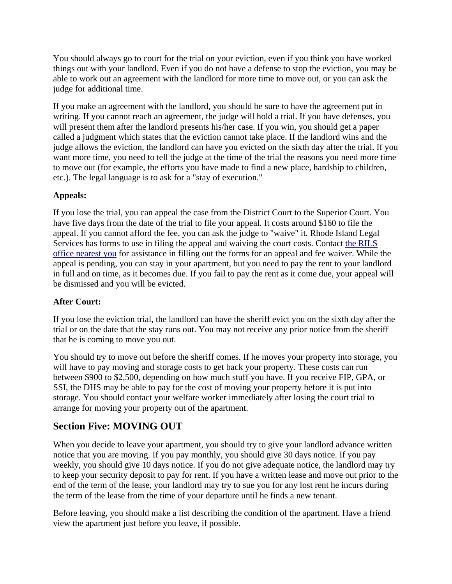You should always go to court for the trial on your eviction, even if you think you have worked things out with your landlord. Even if you do not have a defense to stop the eviction, you may be able to work out an agreement with the landlord for more time to move out, or you can ask the judge for additional time.

If you make an agreement with the landlord, you should be sure to have the agreement put in writing. If you cannot reach an agreement, the judge will hold a trial. If you have defenses, you will present them after the landlord presents his/her case. If you win, you should get a paper called a judgment which states that the eviction cannot take place. If the landlord wins and the judge allows the eviction, the landlord can have you evicted on the sixth day after the trial. If you want more time, you need to tell the judge at the time of the trial the reasons you need more time to move out (for example, the efforts you have made to find a new place, hardship to children, etc.). The legal language is to ask for a "stay of execution."

#### **Appeals:**

If you lose the trial, you can appeal the case from the District Court to the Superior Court. You have five days from the date of the trial to file your appeal. It costs around \$160 to file the appeal. If you cannot afford the fee, you can ask the judge to "waive" it. Rhode Island Legal Services has forms to use in filing the appeal and waiving the court costs. Contact the RILS office nearest you for assistance in filling out the forms for an appeal and fee waiver. While the appeal is pending, you can stay in your apartment, but you need to pay the rent to your landlord in full and on time, as it becomes due. If you fail to pay the rent as it come due, your appeal will be dismissed and you will be evicted.

#### **After Court:**

If you lose the eviction trial, the landlord can have the sheriff evict you on the sixth day after the trial or on the date that the stay runs out. You may not receive any prior notice from the sheriff that he is coming to move you out.

You should try to move out before the sheriff comes. If he moves your property into storage, you will have to pay moving and storage costs to get back your property. These costs can run between \$900 to \$2,500, depending on how much stuff you have. If you receive FIP, GPA, or SSI, the DHS may be able to pay for the cost of moving your property before it is put into storage. You should contact your welfare worker immediately after losing the court trial to arrange for moving your property out of the apartment.

### **Section Five: MOVING OUT**

When you decide to leave your apartment, you should try to give your landlord advance written notice that you are moving. If you pay monthly, you should give 30 days notice. If you pay weekly, you should give 10 days notice. If you do not give adequate notice, the landlord may try to keep your security deposit to pay for rent. If you have a written lease and move out prior to the end of the term of the lease, your landlord may try to sue you for any lost rent he incurs during the term of the lease from the time of your departure until he finds a new tenant.

Before leaving, you should make a list describing the condition of the apartment. Have a friend view the apartment just before you leave, if possible.